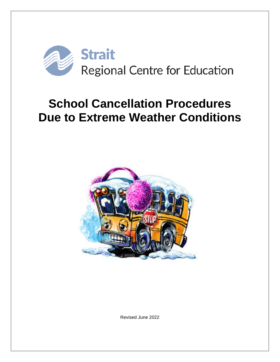

# **School Cancellation Procedures Due to Extreme Weather Conditions**



Revised June 2022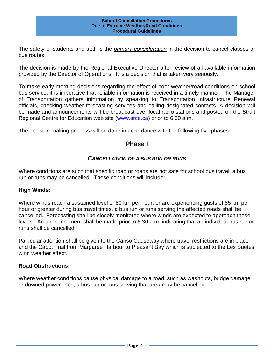The safety of students and staff is the *primary consideration* in the decision to cancel classes or bus routes.

The decision is made by the Regional Executive Director after review of all available information provided by the Director of Operations. It is a decision that is taken very seriously.

To make early morning decisions regarding the effect of poor weather/road conditions on school bus service, it is imperative that reliable information is received in a timely manner. The Manager of Transportation gathers information by speaking to Transportation Infrastructure Renewal officials, checking weather forecasting services and calling designated contacts. A decision will be made and announcements will be broadcast over local radio stations and posted on the Strait Regional Centre for Education web site [\(www.srce.ca\)](http://www.srsb.ca/) prior to 6:30 a.m.

The decision-making process will be done in accordance with the following five phases:

## **Phase I**

#### *CANCELLATION OF A BUS RUN OR RUNS*

Where conditions are such that specific road or roads are not safe for school bus travel, a bus run or runs may be cancelled. These conditions will include:

#### **High Winds:**

Where winds reach a sustained level of 80 km per hour, or are experiencing gusts of 85 km per hour or greater during bus travel times, a bus run or runs serving the affected roads shall be cancelled. Forecasting shall be closely monitored where winds are expected to approach those levels. An announcement shall be made prior to 6:30 a.m. indicating that an individual bus run or runs shall be cancelled.

Particular attention shall be given to the Canso Causeway where travel restrictions are in place and the Cabot Trail from Margaree Harbour to Pleasant Bay which is subjected to the Les Suetes wind weather effect.

#### **Road Obstructions:**

Where weather conditions cause physical damage to a road, such as washouts, bridge damage or downed power lines, a bus run or runs serving that area may be cancelled.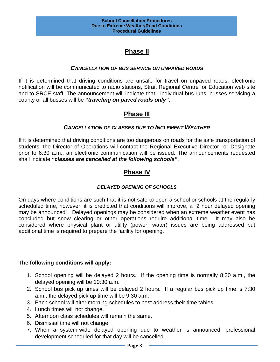## **Phase II**

#### *CANCELLATION OF BUS SERVICE ON UNPAVED ROADS*

If it is determined that driving conditions are unsafe for travel on unpaved roads, electronic notification will be communicated to radio stations, Strait Regional Centre for Education web site and to SRCE staff. The announcement will indicate that: individual bus runs, busses servicing a county or all busses will be *"traveling on paved roads only"*.

## **Phase III**

#### *CANCELLATION OF CLASSES DUE TO INCLEMENT WEATHER*

If it is determined that driving conditions are too dangerous on roads for the safe transportation of students, the Director of Operations will contact the Regional Executive Director or Designate prior to 6:30 a.m., an electronic communication will be issued. The announcements requested shall indicate *"classes are cancelled at the following schools"*.

## **Phase IV**

#### *DELAYED OPENING OF SCHOOLS*

On days where conditions are such that it is not safe to open a school or schools at the regularly scheduled time, however, it is predicted that conditions will improve, a "2 hour delayed opening may be announced". Delayed openings may be considered when an extreme weather event has concluded but snow clearing or other operations require additional time. It may also be considered where physical plant or utility (power, water) issues are being addressed but additional time is required to prepare the facility for opening.

#### **The following conditions will apply:**

- 1. School opening will be delayed 2 hours. If the opening time is normally 8:30 a.m., the delayed opening will be 10:30 a.m.
- 2. School bus pick up times will be delayed 2 hours. If a regular bus pick up time is 7:30 a.m., the delayed pick up time will be 9:30 a.m.
- 3. Each school will alter morning schedules to best address their time tables.
- 4. Lunch times will not change.
- 5. Afternoon class schedules will remain the same.
- 6. Dismissal time will not change.
- 7. When a system-wide delayed opening due to weather is announced, professional development scheduled for that day will be cancelled.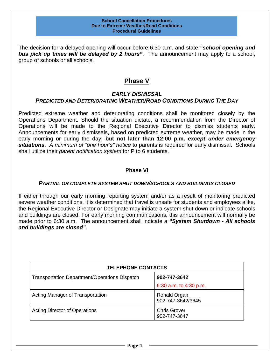The decision for a delayed opening will occur before 6:30 a.m. and state *"school opening and bus pick up times will be delayed by 2 hours"*. The announcement may apply to a school, group of schools or all schools.

#### **Phase V**

#### *EARLY DISMISSAL PREDICTED AND DETERIORATING WEATHER/ROAD CONDITIONS DURING THE DAY*

Predicted extreme weather and deteriorating conditions shall be monitored closely by the Operations Department. Should the situation dictate, a recommendation from the Director of Operations will be made to the Regional Executive Director to dismiss students early. Announcements for early dismissals, based on predicted extreme weather, may be made in the early morning or during the day, **but not later than 12:00 p.m.** *except under emergency situations*. *A minimum of "one hour's" notice* to parents is required for early dismissal. Schools shall utilize their *parent notification system* for P to 6 students.

#### **Phase VI**

#### *PARTIAL OR COMPLETE SYSTEM SHUT DOWN/SCHOOLS AND BUILDINGS CLOSED*

If either through our early morning reporting system and/or as a result of monitoring predicted severe weather conditions, it is determined that travel is unsafe for students and employees alike, the Regional Executive Director or Designate may initiate a system shut down or indicate schools and buildings are closed. For early morning communications, this announcement will normally be made prior to 6:30 a.m. The announcement shall indicate a *"System Shutdown - All schools and buildings are closed"*.

| <b>TELEPHONE CONTACTS</b>                            |                                     |  |
|------------------------------------------------------|-------------------------------------|--|
| <b>Transportation Department/Operations Dispatch</b> | 902-747-3642                        |  |
|                                                      | 6:30 a.m. to 4:30 p.m.              |  |
| Acting Manager of Transportation                     | Ronald Organ<br>902-747-3642/3645   |  |
| <b>Acting Director of Operations</b>                 | <b>Chris Grover</b><br>902-747-3647 |  |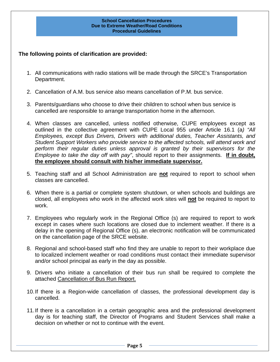#### **The following points of clarification are provided:**

- 1. All communications with radio stations will be made through the SRCE's Transportation Department.
- 2. Cancellation of A.M. bus service also means cancellation of P.M. bus service.
- 3. Parents/guardians who choose to drive their children to school when bus service is cancelled are responsible to arrange transportation home in the afternoon.
- 4. When classes are cancelled, unless notified otherwise, CUPE employees except as outlined in the collective agreement with CUPE Local 955 under Article 16.1 (a*) "All Employees, except Bus Drivers, Drivers with additional duties, Teacher Assistants, and Student Support Workers who provide service to the affected schools, will attend work and perform their regular duties unless approval is granted by their supervisors for the Employee to take the day off with pay"*, should report to their assignments. **If in doubt, the employee should consult with his/her immediate supervisor.**
- 5. Teaching staff and all School Administration are **not** required to report to school when classes are cancelled.
- 6. When there is a partial or complete system shutdown, or when schools and buildings are closed, all employees who work in the affected work sites will **not** be required to report to work.
- 7. Employees who regularly work in the Regional Office (s) are required to report to work except in cases where such locations are closed due to inclement weather. If there is a delay in the opening of Regional Office (s), an electronic notification will be communicated on the cancellation page of the SRCE website.
- 8. Regional and school-based staff who find they are unable to report to their workplace due to localized inclement weather or road conditions must contact their immediate supervisor and/or school principal as early in the day as possible.
- 9. Drivers who initiate a cancellation of their bus run shall be required to complete the attached Cancellation of Bus Run Report.
- 10.If there is a Region-wide cancellation of classes, the professional development day is cancelled.
- 11.If there is a cancellation in a certain geographic area and the professional development day is for teaching staff, the Director of Programs and Student Services shall make a decision on whether or not to continue with the event.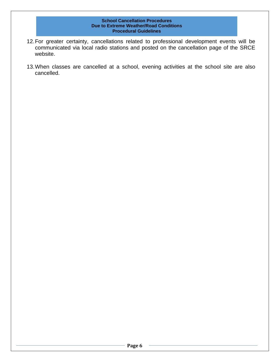- 12.For greater certainty, cancellations related to professional development events will be communicated via local radio stations and posted on the cancellation page of the SRCE website.
- 13.When classes are cancelled at a school, evening activities at the school site are also cancelled.